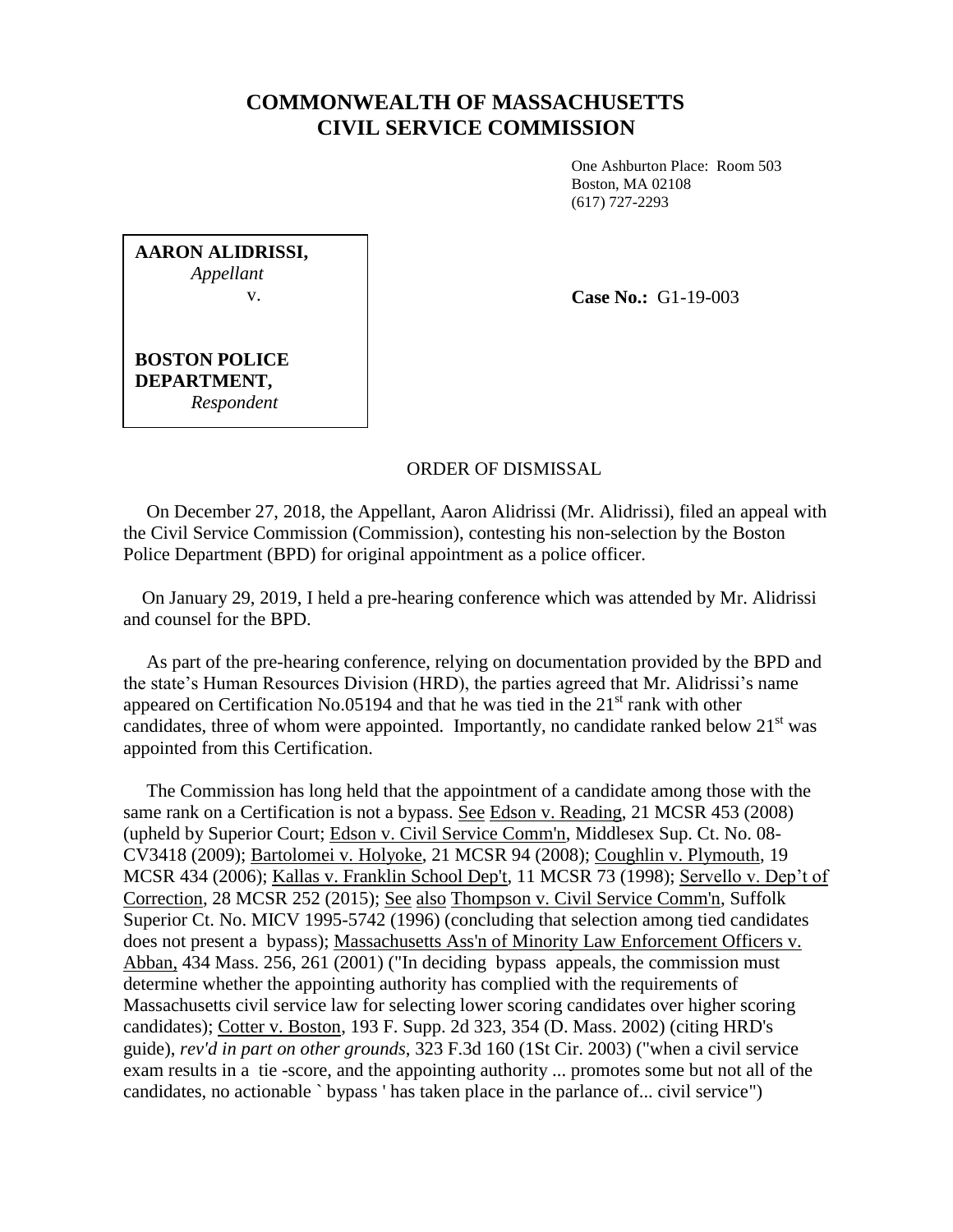## **COMMONWEALTH OF MASSACHUSETTS CIVIL SERVICE COMMISSION**

One Ashburton Place: Room 503 Boston, MA 02108 (617) 727-2293

**AARON ALIDRISSI,** *Appellant* v.

**Case No.:** G1-19-003

**BOSTON POLICE DEPARTMENT,** *Respondent*

## ORDER OF DISMISSAL

 On December 27, 2018, the Appellant, Aaron Alidrissi (Mr. Alidrissi), filed an appeal with the Civil Service Commission (Commission), contesting his non-selection by the Boston Police Department (BPD) for original appointment as a police officer.

 On January 29, 2019, I held a pre-hearing conference which was attended by Mr. Alidrissi and counsel for the BPD.

 As part of the pre-hearing conference, relying on documentation provided by the BPD and the state's Human Resources Division (HRD), the parties agreed that Mr. Alidrissi's name appeared on Certification No.05194 and that he was tied in the  $21<sup>st</sup>$  rank with other candidates, three of whom were appointed. Importantly, no candidate ranked below  $21<sup>st</sup>$  was appointed from this Certification.

 The Commission has long held that the appointment of a candidate among those with the same rank on a Certification is not a bypass. See Edson v. Reading, 21 MCSR 453 (2008) (upheld by Superior Court; Edson v. Civil Service Comm'n, Middlesex Sup. Ct. No. 08- CV3418 (2009); Bartolomei v. Holyoke, 21 MCSR 94 (2008); Coughlin v. Plymouth, 19 MCSR 434 (2006); Kallas v. Franklin School Dep't, 11 MCSR 73 (1998); Servello v. Dep't of Correction, 28 MCSR 252 (2015); See also Thompson v. Civil Service Comm'n, Suffolk Superior Ct. No. MICV 1995-5742 (1996) (concluding that selection among tied candidates does not present a bypass); Massachusetts Ass'n of Minority Law Enforcement Officers v. Abban, 434 Mass. 256, 261 (2001) ("In deciding bypass appeals, the commission must determine whether the appointing authority has complied with the requirements of Massachusetts civil service law for selecting lower scoring candidates over higher scoring candidates); Cotter v. Boston, 193 F. Supp. 2d 323, 354 (D. Mass. 2002) (citing HRD's guide), *rev'd in part on other grounds*, 323 F.3d 160 (1St Cir. 2003) ("when a civil service exam results in a tie -score, and the appointing authority ... promotes some but not all of the candidates, no actionable ` bypass ' has taken place in the parlance of... civil service")